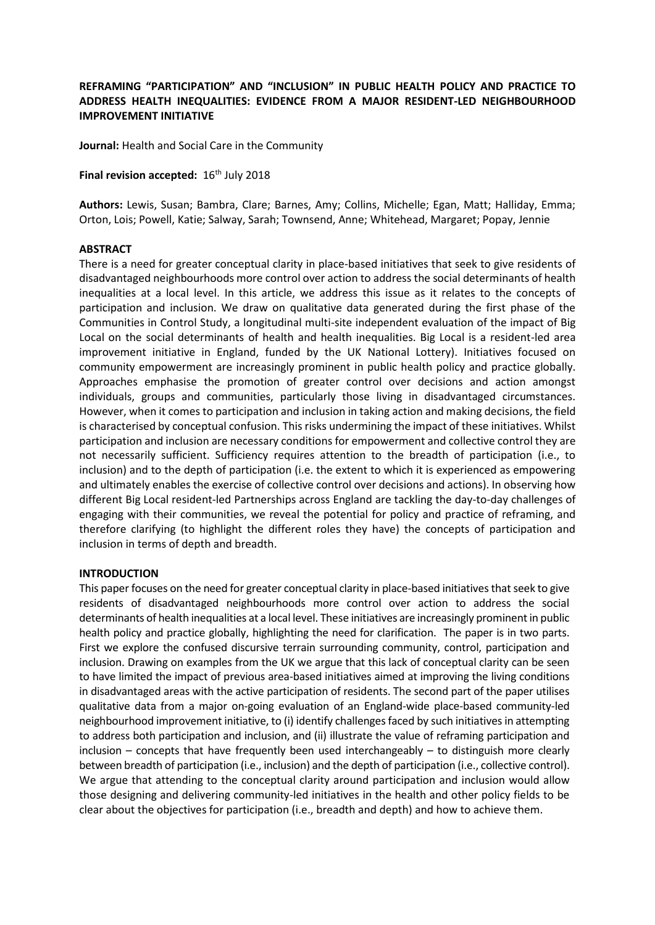# **REFRAMING "PARTICIPATION" AND "INCLUSION" IN PUBLIC HEALTH POLICY AND PRACTICE TO ADDRESS HEALTH INEQUALITIES: EVIDENCE FROM A MAJOR RESIDENT-LED NEIGHBOURHOOD IMPROVEMENT INITIATIVE**

**Journal:** Health and Social Care in the Community

**Final revision accepted: 16<sup>th</sup> July 2018** 

**Authors:** Lewis, Susan; Bambra, Clare; Barnes, Amy; Collins, Michelle; Egan, Matt; Halliday, Emma; Orton, Lois; Powell, Katie; Salway, Sarah; Townsend, Anne; Whitehead, Margaret; Popay, Jennie

## **ABSTRACT**

There is a need for greater conceptual clarity in place-based initiatives that seek to give residents of disadvantaged neighbourhoods more control over action to address the social determinants of health inequalities at a local level. In this article, we address this issue as it relates to the concepts of participation and inclusion. We draw on qualitative data generated during the first phase of the Communities in Control Study, a longitudinal multi-site independent evaluation of the impact of Big Local on the social determinants of health and health inequalities. Big Local is a resident-led area improvement initiative in England, funded by the UK National Lottery). Initiatives focused on community empowerment are increasingly prominent in public health policy and practice globally. Approaches emphasise the promotion of greater control over decisions and action amongst individuals, groups and communities, particularly those living in disadvantaged circumstances. However, when it comes to participation and inclusion in taking action and making decisions, the field is characterised by conceptual confusion. This risks undermining the impact of these initiatives. Whilst participation and inclusion are necessary conditions for empowerment and collective control they are not necessarily sufficient. Sufficiency requires attention to the breadth of participation (i.e., to inclusion) and to the depth of participation (i.e. the extent to which it is experienced as empowering and ultimately enables the exercise of collective control over decisions and actions). In observing how different Big Local resident-led Partnerships across England are tackling the day-to-day challenges of engaging with their communities, we reveal the potential for policy and practice of reframing, and therefore clarifying (to highlight the different roles they have) the concepts of participation and inclusion in terms of depth and breadth.

#### **INTRODUCTION**

This paper focuses on the need for greater conceptual clarity in place-based initiatives that seek to give residents of disadvantaged neighbourhoods more control over action to address the social determinants of health inequalities at a local level. These initiatives are increasingly prominent in public health policy and practice globally, highlighting the need for clarification. The paper is in two parts. First we explore the confused discursive terrain surrounding community, control, participation and inclusion. Drawing on examples from the UK we argue that this lack of conceptual clarity can be seen to have limited the impact of previous area-based initiatives aimed at improving the living conditions in disadvantaged areas with the active participation of residents. The second part of the paper utilises qualitative data from a major on-going evaluation of an England-wide place-based community-led neighbourhood improvement initiative, to (i) identify challenges faced by such initiatives in attempting to address both participation and inclusion, and (ii) illustrate the value of reframing participation and  $inclusion - concepts that have frequently been used interchangeably - to distinguish more clearly$ between breadth of participation (i.e., inclusion) and the depth of participation (i.e., collective control). We argue that attending to the conceptual clarity around participation and inclusion would allow those designing and delivering community-led initiatives in the health and other policy fields to be clear about the objectives for participation (i.e., breadth and depth) and how to achieve them.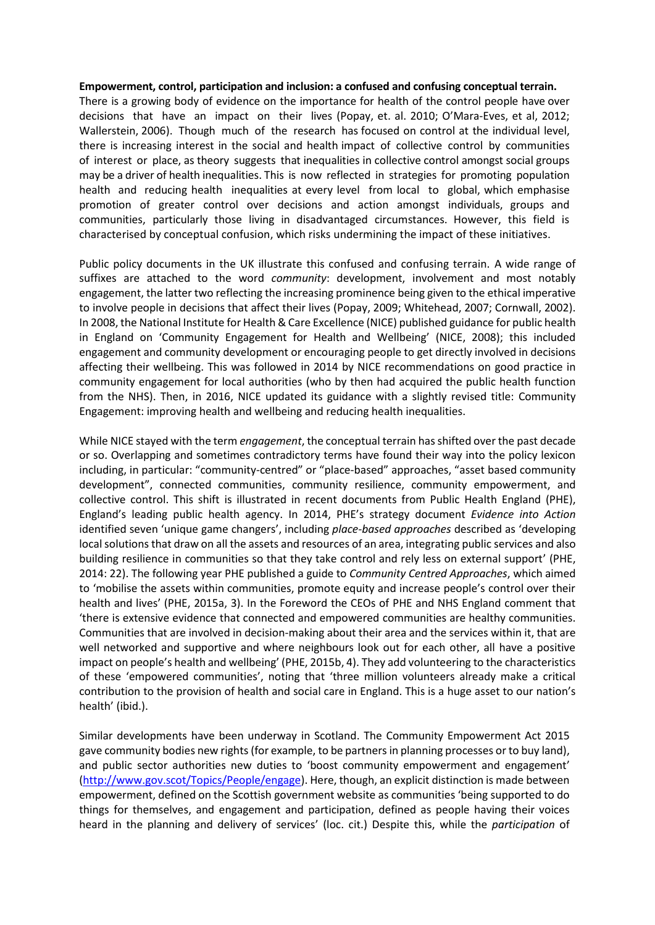#### **Empowerment, control, participation and inclusion: a confused and confusing conceptual terrain.**

There is a growing body of evidence on the importance for health of the control people have over decisions that have an impact on their lives (Popay, et. al. 2010; O'Mara-Eves, et al, 2012; Wallerstein, 2006). Though much of the research has focused on control at the individual level, there is increasing interest in the social and health impact of collective control by communities of interest or place, as theory suggests that inequalities in collective control amongst social groups may be a driver of health inequalities. This is now reflected in strategies for promoting population health and reducing health inequalities at every level from local to global, which emphasise promotion of greater control over decisions and action amongst individuals, groups and communities, particularly those living in disadvantaged circumstances. However, this field is characterised by conceptual confusion, which risks undermining the impact of these initiatives.

Public policy documents in the UK illustrate this confused and confusing terrain. A wide range of suffixes are attached to the word *community*: development, involvement and most notably engagement, the latter two reflecting the increasing prominence being given to the ethical imperative to involve people in decisions that affect their lives (Popay, 2009; Whitehead, 2007; Cornwall, 2002). In 2008, the National Institute for Health & Care Excellence (NICE) published guidance for public health in England on 'Community Engagement for Health and Wellbeing' (NICE, 2008); this included engagement and community development or encouraging people to get directly involved in decisions affecting their wellbeing. This was followed in 2014 by NICE recommendations on good practice in community engagement for local authorities (who by then had acquired the public health function from the NHS). Then, in 2016, NICE updated its guidance with a slightly revised title: Community Engagement: improving health and wellbeing and reducing health inequalities.

While NICE stayed with the term *engagement*, the conceptual terrain has shifted over the past decade or so. Overlapping and sometimes contradictory terms have found their way into the policy lexicon including, in particular: "community-centred" or "place-based" approaches, "asset based community development", connected communities, community resilience, community empowerment, and collective control. This shift is illustrated in recent documents from Public Health England (PHE), England's leading public health agency. In 2014, PHE's strategy document *Evidence into Action* identified seven 'unique game changers', including *place-based approaches* described as 'developing local solutions that draw on all the assets and resources of an area, integrating public services and also building resilience in communities so that they take control and rely less on external support' (PHE, 2014: 22). The following year PHE published a guide to *Community Centred Approaches*, which aimed to 'mobilise the assets within communities, promote equity and increase people's control over their health and lives' (PHE, 2015a, 3). In the Foreword the CEOs of PHE and NHS England comment that 'there is extensive evidence that connected and empowered communities are healthy communities. Communities that are involved in decision-making about their area and the services within it, that are well networked and supportive and where neighbours look out for each other, all have a positive impact on people's health and wellbeing' (PHE, 2015b, 4). They add volunteering to the characteristics of these 'empowered communities', noting that 'three million volunteers already make a critical contribution to the provision of health and social care in England. This is a huge asset to our nation's health' (ibid.).

Similar developments have been underway in Scotland. The Community Empowerment Act 2015 gave community bodies new rights (for example, to be partners in planning processes or to buy land), and public sector authorities new duties to 'boost community empowerment and engagement' [\(http://www.gov.scot/Topics/People/engage\)](http://www.gov.scot/Topics/People/engage). Here, though, an explicit distinction is made between empowerment, defined on the Scottish government website as communities 'being supported to do things for themselves, and engagement and participation, defined as people having their voices heard in the planning and delivery of services' (loc. cit.) Despite this, while the *participation* of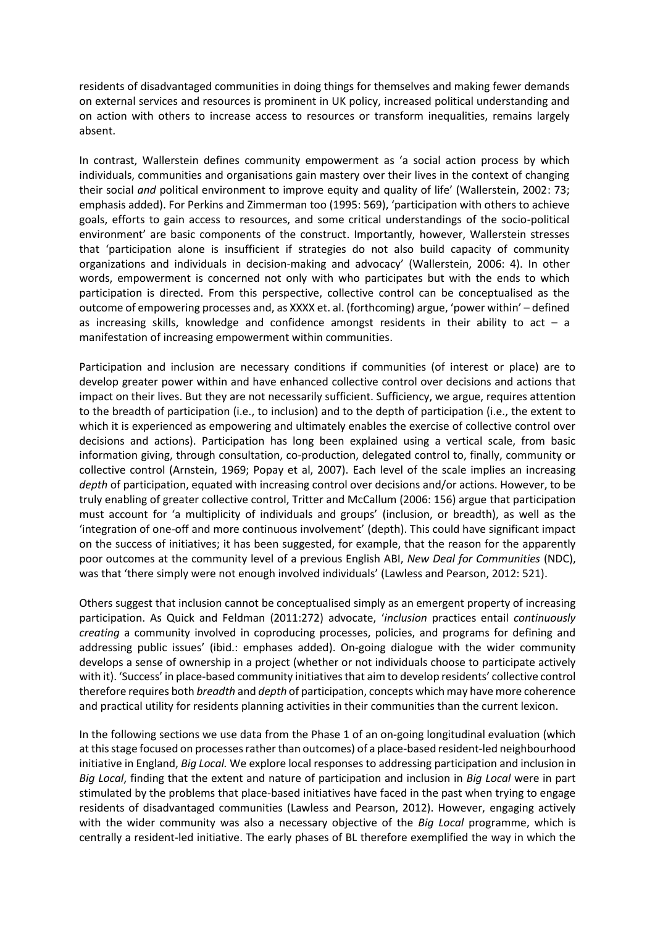residents of disadvantaged communities in doing things for themselves and making fewer demands on external services and resources is prominent in UK policy, increased political understanding and on action with others to increase access to resources or transform inequalities, remains largely absent.

In contrast, Wallerstein defines community empowerment as 'a social action process by which individuals, communities and organisations gain mastery over their lives in the context of changing their social *and* political environment to improve equity and quality of life' (Wallerstein, 2002: 73; emphasis added). For Perkins and Zimmerman too (1995: 569), 'participation with others to achieve goals, efforts to gain access to resources, and some critical understandings of the socio-political environment' are basic components of the construct. Importantly, however, Wallerstein stresses that 'participation alone is insufficient if strategies do not also build capacity of community organizations and individuals in decision-making and advocacy' (Wallerstein, 2006: 4). In other words, empowerment is concerned not only with who participates but with the ends to which participation is directed. From this perspective, collective control can be conceptualised as the outcome of empowering processes and, as XXXX et. al. (forthcoming) argue, 'power within' – defined as increasing skills, knowledge and confidence amongst residents in their ability to act  $-$  a manifestation of increasing empowerment within communities.

Participation and inclusion are necessary conditions if communities (of interest or place) are to develop greater power within and have enhanced collective control over decisions and actions that impact on their lives. But they are not necessarily sufficient. Sufficiency, we argue, requires attention to the breadth of participation (i.e., to inclusion) and to the depth of participation (i.e., the extent to which it is experienced as empowering and ultimately enables the exercise of collective control over decisions and actions). Participation has long been explained using a vertical scale, from basic information giving, through consultation, co-production, delegated control to, finally, community or collective control (Arnstein, 1969; Popay et al, 2007). Each level of the scale implies an increasing *depth* of participation, equated with increasing control over decisions and/or actions. However, to be truly enabling of greater collective control, Tritter and McCallum (2006: 156) argue that participation must account for 'a multiplicity of individuals and groups' (inclusion, or breadth), as well as the 'integration of one-off and more continuous involvement' (depth). This could have significant impact on the success of initiatives; it has been suggested, for example, that the reason for the apparently poor outcomes at the community level of a previous English ABI, *New Deal for Communities* (NDC), was that 'there simply were not enough involved individuals' (Lawless and Pearson, 2012: 521).

Others suggest that inclusion cannot be conceptualised simply as an emergent property of increasing participation. As Quick and Feldman (2011:272) advocate, '*inclusion* practices entail *continuously creating* a community involved in coproducing processes, policies, and programs for defining and addressing public issues' (ibid.: emphases added). On-going dialogue with the wider community develops a sense of ownership in a project (whether or not individuals choose to participate actively with it). 'Success' in place-based community initiativesthat aim to develop residents' collective control therefore requires both *breadth* and *depth* of participation, concepts which may have more coherence and practical utility for residents planning activities in their communities than the current lexicon.

In the following sections we use data from the Phase 1 of an on-going longitudinal evaluation (which at this stage focused on processes rather than outcomes) of a place-based resident-led neighbourhood initiative in England, *Big Local.* We explore local responses to addressing participation and inclusion in *Big Local*, finding that the extent and nature of participation and inclusion in *Big Local* were in part stimulated by the problems that place-based initiatives have faced in the past when trying to engage residents of disadvantaged communities (Lawless and Pearson, 2012). However, engaging actively with the wider community was also a necessary objective of the *Big Local* programme, which is centrally a resident-led initiative. The early phases of BL therefore exemplified the way in which the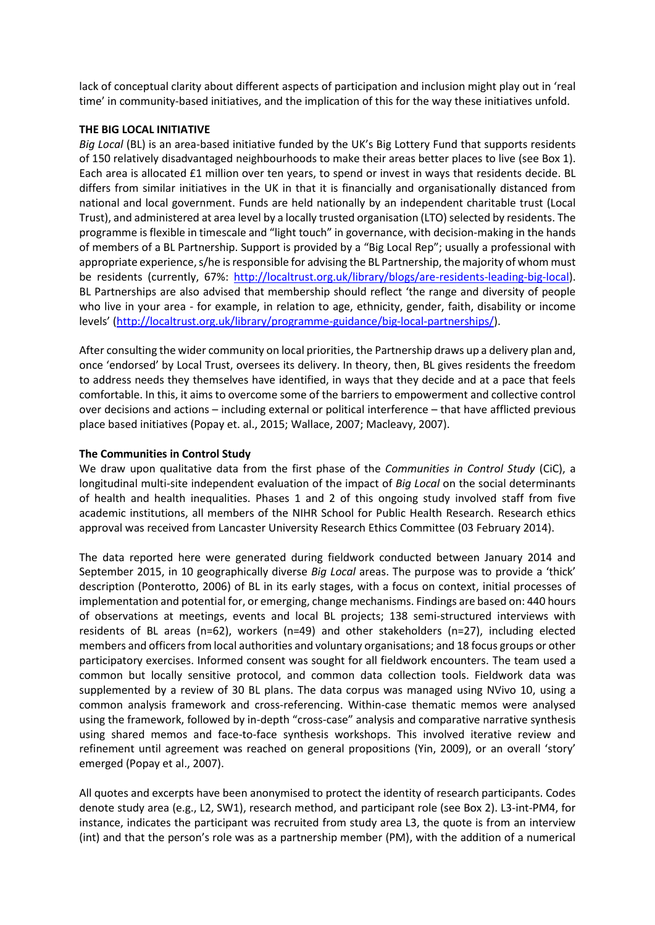lack of conceptual clarity about different aspects of participation and inclusion might play out in 'real time' in community-based initiatives, and the implication of this for the way these initiatives unfold.

## **THE BIG LOCAL INITIATIVE**

*Big Local* (BL) is an area-based initiative funded by the UK's Big Lottery Fund that supports residents of 150 relatively disadvantaged neighbourhoods to make their areas better places to live (see Box 1). Each area is allocated £1 million over ten years, to spend or invest in ways that residents decide. BL differs from similar initiatives in the UK in that it is financially and organisationally distanced from national and local government. Funds are held nationally by an independent charitable trust (Local Trust), and administered at area level by a locally trusted organisation (LTO) selected by residents. The programme is flexible in timescale and "light touch" in governance, with decision-making in the hands of members of a BL Partnership. Support is provided by a "Big Local Rep"; usually a professional with appropriate experience, s/he is responsible for advising the BL Partnership, the majority of whom must be residents (currently, 67%: [http://localtrust.org.uk/library/blogs/are-residents-leading-big-local\)](http://localtrust.org.uk/library/blogs/are-residents-leading-big-local). BL Partnerships are also advised that membership should reflect 'the range and diversity of people who live in your area - for example, in relation to age, ethnicity, gender, faith, disability or income levels' [\(http://localtrust.org.uk/library/programme-guidance/big-local-partnerships/\)](http://localtrust.org.uk/library/programme-guidance/big-local-partnerships/).

After consulting the wider community on local priorities, the Partnership draws up a delivery plan and, once 'endorsed' by Local Trust, oversees its delivery. In theory, then, BL gives residents the freedom to address needs they themselves have identified, in ways that they decide and at a pace that feels comfortable. In this, it aims to overcome some of the barriers to empowerment and collective control over decisions and actions – including external or political interference – that have afflicted previous place based initiatives (Popay et. al., 2015; Wallace, 2007; Macleavy, 2007).

## **The Communities in Control Study**

We draw upon qualitative data from the first phase of the *Communities in Control Study* (CiC), a longitudinal multi-site independent evaluation of the impact of *Big Local* on the social determinants of health and health inequalities. Phases 1 and 2 of this ongoing study involved staff from five academic institutions, all members of the NIHR School for Public Health Research. Research ethics approval was received from Lancaster University Research Ethics Committee (03 February 2014).

The data reported here were generated during fieldwork conducted between January 2014 and September 2015, in 10 geographically diverse *Big Local* areas. The purpose was to provide a 'thick' description (Ponterotto, 2006) of BL in its early stages, with a focus on context, initial processes of implementation and potential for, or emerging, change mechanisms. Findings are based on: 440 hours of observations at meetings, events and local BL projects; 138 semi-structured interviews with residents of BL areas (n=62), workers (n=49) and other stakeholders (n=27), including elected members and officers from local authorities and voluntary organisations; and 18 focus groups or other participatory exercises. Informed consent was sought for all fieldwork encounters. The team used a common but locally sensitive protocol, and common data collection tools. Fieldwork data was supplemented by a review of 30 BL plans. The data corpus was managed using NVivo 10, using a common analysis framework and cross-referencing. Within-case thematic memos were analysed using the framework, followed by in-depth "cross-case" analysis and comparative narrative synthesis using shared memos and face-to-face synthesis workshops. This involved iterative review and refinement until agreement was reached on general propositions (Yin, 2009), or an overall 'story' emerged (Popay et al., 2007).

All quotes and excerpts have been anonymised to protect the identity of research participants. Codes denote study area (e.g., L2, SW1), research method, and participant role (see Box 2). L3-int-PM4, for instance, indicates the participant was recruited from study area L3, the quote is from an interview (int) and that the person's role was as a partnership member (PM), with the addition of a numerical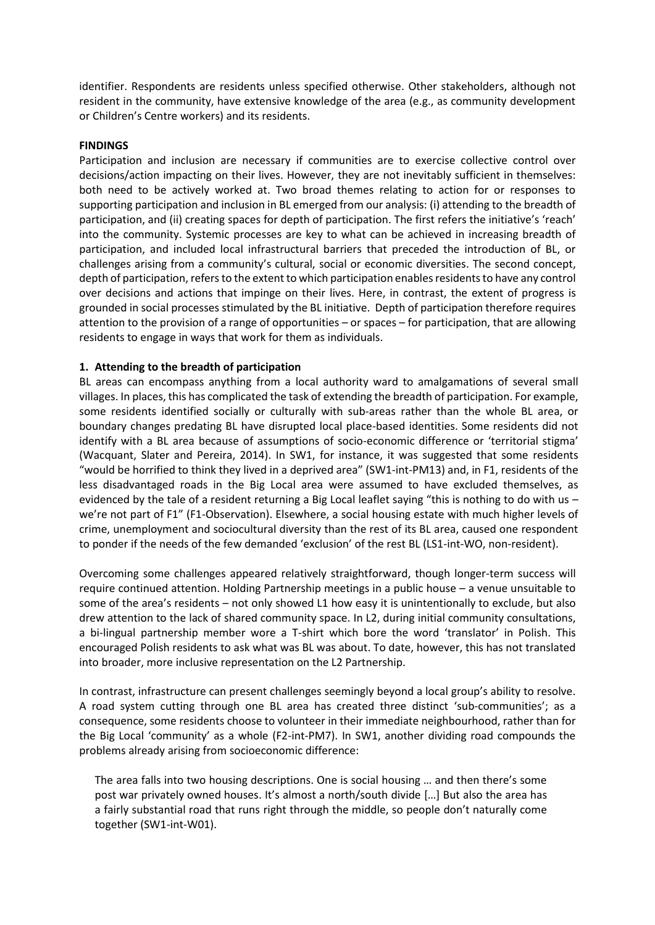identifier. Respondents are residents unless specified otherwise. Other stakeholders, although not resident in the community, have extensive knowledge of the area (e.g., as community development or Children's Centre workers) and its residents.

## **FINDINGS**

Participation and inclusion are necessary if communities are to exercise collective control over decisions/action impacting on their lives. However, they are not inevitably sufficient in themselves: both need to be actively worked at. Two broad themes relating to action for or responses to supporting participation and inclusion in BL emerged from our analysis: (i) attending to the breadth of participation, and (ii) creating spaces for depth of participation. The first refers the initiative's 'reach' into the community. Systemic processes are key to what can be achieved in increasing breadth of participation, and included local infrastructural barriers that preceded the introduction of BL, or challenges arising from a community's cultural, social or economic diversities. The second concept, depth of participation, refersto the extent to which participation enables residents to have any control over decisions and actions that impinge on their lives. Here, in contrast, the extent of progress is grounded in social processes stimulated by the BL initiative. Depth of participation therefore requires attention to the provision of a range of opportunities – or spaces – for participation, that are allowing residents to engage in ways that work for them as individuals.

# **1. Attending to the breadth of participation**

BL areas can encompass anything from a local authority ward to amalgamations of several small villages. In places, this has complicated the task of extending the breadth of participation. For example, some residents identified socially or culturally with sub-areas rather than the whole BL area, or boundary changes predating BL have disrupted local place-based identities. Some residents did not identify with a BL area because of assumptions of socio-economic difference or 'territorial stigma' (Wacquant, Slater and Pereira, 2014). In SW1, for instance, it was suggested that some residents "would be horrified to think they lived in a deprived area" (SW1-int-PM13) and, in F1, residents of the less disadvantaged roads in the Big Local area were assumed to have excluded themselves, as evidenced by the tale of a resident returning a Big Local leaflet saying "this is nothing to do with us – we're not part of F1" (F1-Observation). Elsewhere, a social housing estate with much higher levels of crime, unemployment and sociocultural diversity than the rest of its BL area, caused one respondent to ponder if the needs of the few demanded 'exclusion' of the rest BL (LS1-int-WO, non-resident).

Overcoming some challenges appeared relatively straightforward, though longer-term success will require continued attention. Holding Partnership meetings in a public house – a venue unsuitable to some of the area's residents – not only showed L1 how easy it is unintentionally to exclude, but also drew attention to the lack of shared community space. In L2, during initial community consultations, a bi-lingual partnership member wore a T-shirt which bore the word 'translator' in Polish. This encouraged Polish residents to ask what was BL was about. To date, however, this has not translated into broader, more inclusive representation on the L2 Partnership.

In contrast, infrastructure can present challenges seemingly beyond a local group's ability to resolve. A road system cutting through one BL area has created three distinct 'sub-communities'; as a consequence, some residents choose to volunteer in their immediate neighbourhood, rather than for the Big Local 'community' as a whole (F2-int-PM7). In SW1, another dividing road compounds the problems already arising from socioeconomic difference:

The area falls into two housing descriptions. One is social housing … and then there's some post war privately owned houses. It's almost a north/south divide […] But also the area has a fairly substantial road that runs right through the middle, so people don't naturally come together (SW1-int-W01).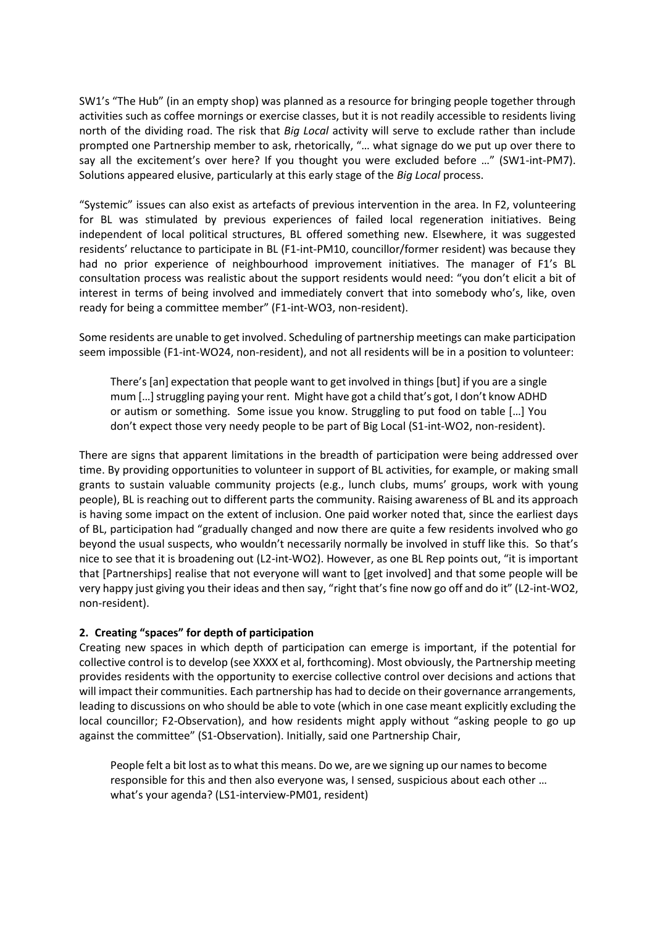SW1's "The Hub" (in an empty shop) was planned as a resource for bringing people together through activities such as coffee mornings or exercise classes, but it is not readily accessible to residents living north of the dividing road. The risk that *Big Local* activity will serve to exclude rather than include prompted one Partnership member to ask, rhetorically, "… what signage do we put up over there to say all the excitement's over here? If you thought you were excluded before …" (SW1-int-PM7). Solutions appeared elusive, particularly at this early stage of the *Big Local* process.

"Systemic" issues can also exist as artefacts of previous intervention in the area. In F2, volunteering for BL was stimulated by previous experiences of failed local regeneration initiatives. Being independent of local political structures, BL offered something new. Elsewhere, it was suggested residents' reluctance to participate in BL (F1-int-PM10, councillor/former resident) was because they had no prior experience of neighbourhood improvement initiatives. The manager of F1's BL consultation process was realistic about the support residents would need: "you don't elicit a bit of interest in terms of being involved and immediately convert that into somebody who's, like, oven ready for being a committee member" (F1-int-WO3, non-resident).

Some residents are unable to get involved. Scheduling of partnership meetings can make participation seem impossible (F1-int-WO24, non-resident), and not all residents will be in a position to volunteer:

There's [an] expectation that people want to get involved in things [but] if you are a single mum […] struggling paying your rent. Might have got a child that's got, I don't know ADHD or autism or something. Some issue you know. Struggling to put food on table […] You don't expect those very needy people to be part of Big Local (S1-int-WO2, non-resident).

There are signs that apparent limitations in the breadth of participation were being addressed over time. By providing opportunities to volunteer in support of BL activities, for example, or making small grants to sustain valuable community projects (e.g., lunch clubs, mums' groups, work with young people), BL is reaching out to different parts the community. Raising awareness of BL and its approach is having some impact on the extent of inclusion. One paid worker noted that, since the earliest days of BL, participation had "gradually changed and now there are quite a few residents involved who go beyond the usual suspects, who wouldn't necessarily normally be involved in stuff like this. So that's nice to see that it is broadening out (L2-int-WO2). However, as one BL Rep points out, "it is important that [Partnerships] realise that not everyone will want to [get involved] and that some people will be very happy just giving you their ideas and then say, "right that's fine now go off and do it" (L2-int-WO2, non-resident).

# **2. Creating "spaces" for depth of participation**

Creating new spaces in which depth of participation can emerge is important, if the potential for collective control is to develop (see XXXX et al, forthcoming). Most obviously, the Partnership meeting provides residents with the opportunity to exercise collective control over decisions and actions that will impact their communities. Each partnership has had to decide on their governance arrangements, leading to discussions on who should be able to vote (which in one case meant explicitly excluding the local councillor; F2-Observation), and how residents might apply without "asking people to go up against the committee" (S1-Observation). Initially, said one Partnership Chair,

People felt a bit lost as to what this means. Do we, are we signing up our names to become responsible for this and then also everyone was, I sensed, suspicious about each other … what's your agenda? (LS1-interview-PM01, resident)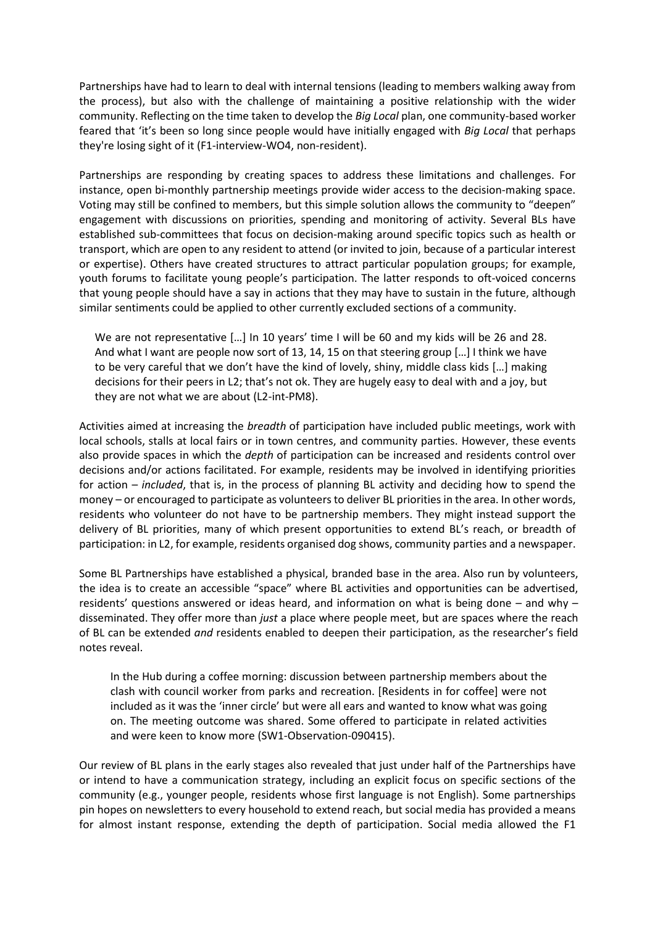Partnerships have had to learn to deal with internal tensions (leading to members walking away from the process), but also with the challenge of maintaining a positive relationship with the wider community. Reflecting on the time taken to develop the *Big Local* plan, one community-based worker feared that 'it's been so long since people would have initially engaged with *Big Local* that perhaps they're losing sight of it (F1-interview-WO4, non-resident).

Partnerships are responding by creating spaces to address these limitations and challenges. For instance, open bi-monthly partnership meetings provide wider access to the decision-making space. Voting may still be confined to members, but this simple solution allows the community to "deepen" engagement with discussions on priorities, spending and monitoring of activity. Several BLs have established sub-committees that focus on decision-making around specific topics such as health or transport, which are open to any resident to attend (or invited to join, because of a particular interest or expertise). Others have created structures to attract particular population groups; for example, youth forums to facilitate young people's participation. The latter responds to oft-voiced concerns that young people should have a say in actions that they may have to sustain in the future, although similar sentiments could be applied to other currently excluded sections of a community.

We are not representative [...] In 10 years' time I will be 60 and my kids will be 26 and 28. And what I want are people now sort of 13, 14, 15 on that steering group […] I think we have to be very careful that we don't have the kind of lovely, shiny, middle class kids […] making decisions for their peers in L2; that's not ok. They are hugely easy to deal with and a joy, but they are not what we are about (L2-int-PM8).

Activities aimed at increasing the *breadth* of participation have included public meetings, work with local schools, stalls at local fairs or in town centres, and community parties. However, these events also provide spaces in which the *depth* of participation can be increased and residents control over decisions and/or actions facilitated. For example, residents may be involved in identifying priorities for action – *included*, that is, in the process of planning BL activity and deciding how to spend the money – or encouraged to participate as volunteers to deliver BL priorities in the area. In other words, residents who volunteer do not have to be partnership members. They might instead support the delivery of BL priorities, many of which present opportunities to extend BL's reach, or breadth of participation: in L2, for example, residents organised dog shows, community parties and a newspaper.

Some BL Partnerships have established a physical, branded base in the area. Also run by volunteers, the idea is to create an accessible "space" where BL activities and opportunities can be advertised, residents' questions answered or ideas heard, and information on what is being done – and why – disseminated. They offer more than *just* a place where people meet, but are spaces where the reach of BL can be extended *and* residents enabled to deepen their participation, as the researcher's field notes reveal.

In the Hub during a coffee morning: discussion between partnership members about the clash with council worker from parks and recreation. [Residents in for coffee] were not included as it was the 'inner circle' but were all ears and wanted to know what was going on. The meeting outcome was shared. Some offered to participate in related activities and were keen to know more (SW1-Observation-090415).

Our review of BL plans in the early stages also revealed that just under half of the Partnerships have or intend to have a communication strategy, including an explicit focus on specific sections of the community (e.g., younger people, residents whose first language is not English). Some partnerships pin hopes on newsletters to every household to extend reach, but social media has provided a means for almost instant response, extending the depth of participation. Social media allowed the F1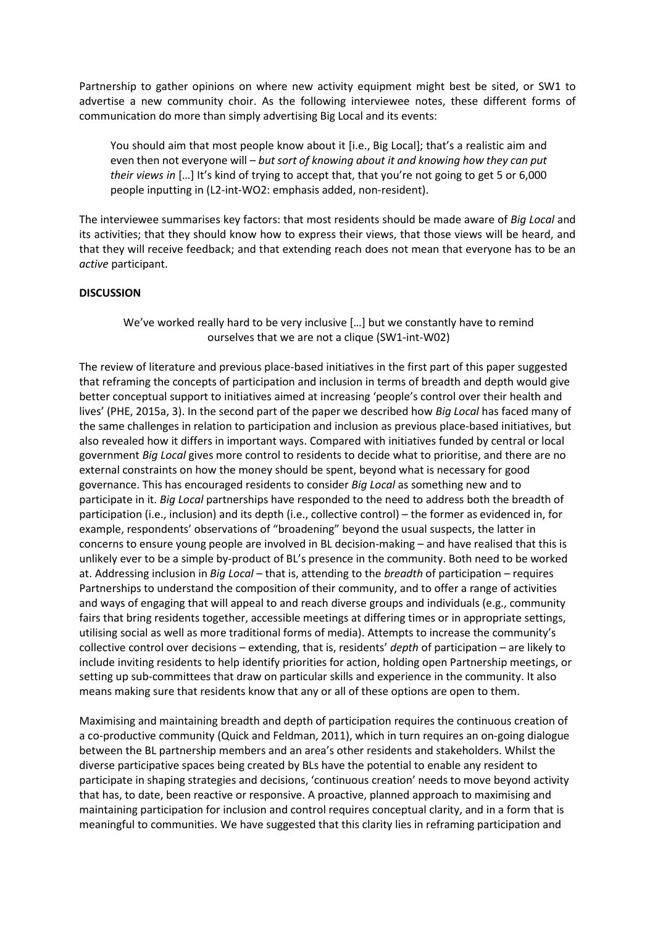Partnership to gather opinions on where new activity equipment might best be sited, or SW1 to advertise a new community choir. As the following interviewee notes, these different forms of communication do more than simply advertising Big Local and its events:

You should aim that most people know about it [i.e., Big Local]; that's a realistic aim and even then not everyone will – *but sort of knowing about it and knowing how they can put their views in* […] It's kind of trying to accept that, that you're not going to get 5 or 6,000 people inputting in (L2-int-WO2: emphasis added, non-resident).

The interviewee summarises key factors: that most residents should be made aware of *Big Local* and its activities; that they should know how to express their views, that those views will be heard, and that they will receive feedback; and that extending reach does not mean that everyone has to be an *active* participant.

## **DISCUSSION**

We've worked really hard to be very inclusive […] but we constantly have to remind ourselves that we are not a clique (SW1-int-W02)

The review of literature and previous place-based initiatives in the first part of this paper suggested that reframing the concepts of participation and inclusion in terms of breadth and depth would give better conceptual support to initiatives aimed at increasing 'people's control over their health and lives' (PHE, 2015a, 3). In the second part of the paper we described how *Big Local* has faced many of the same challenges in relation to participation and inclusion as previous place-based initiatives, but also revealed how it differs in important ways. Compared with initiatives funded by central or local government *Big Local* gives more control to residents to decide what to prioritise, and there are no external constraints on how the money should be spent, beyond what is necessary for good governance. This has encouraged residents to consider *Big Local* as something new and to participate in it. *Big Local* partnerships have responded to the need to address both the breadth of participation (i.e., inclusion) and its depth (i.e., collective control) – the former as evidenced in, for example, respondents' observations of "broadening" beyond the usual suspects, the latter in concerns to ensure young people are involved in BL decision-making – and have realised that this is unlikely ever to be a simple by-product of BL's presence in the community. Both need to be worked at. Addressing inclusion in *Big Local* – that is, attending to the *breadth* of participation – requires Partnerships to understand the composition of their community, and to offer a range of activities and ways of engaging that will appeal to and reach diverse groups and individuals (e.g., community fairs that bring residents together, accessible meetings at differing times or in appropriate settings, utilising social as well as more traditional forms of media). Attempts to increase the community's collective control over decisions – extending, that is, residents' *depth* of participation – are likely to include inviting residents to help identify priorities for action, holding open Partnership meetings, or setting up sub-committees that draw on particular skills and experience in the community. It also means making sure that residents know that any or all of these options are open to them.

Maximising and maintaining breadth and depth of participation requires the continuous creation of a co-productive community (Quick and Feldman, 2011), which in turn requires an on-going dialogue between the BL partnership members and an area's other residents and stakeholders. Whilst the diverse participative spaces being created by BLs have the potential to enable any resident to participate in shaping strategies and decisions, 'continuous creation' needs to move beyond activity that has, to date, been reactive or responsive. A proactive, planned approach to maximising and maintaining participation for inclusion and control requires conceptual clarity, and in a form that is meaningful to communities. We have suggested that this clarity lies in reframing participation and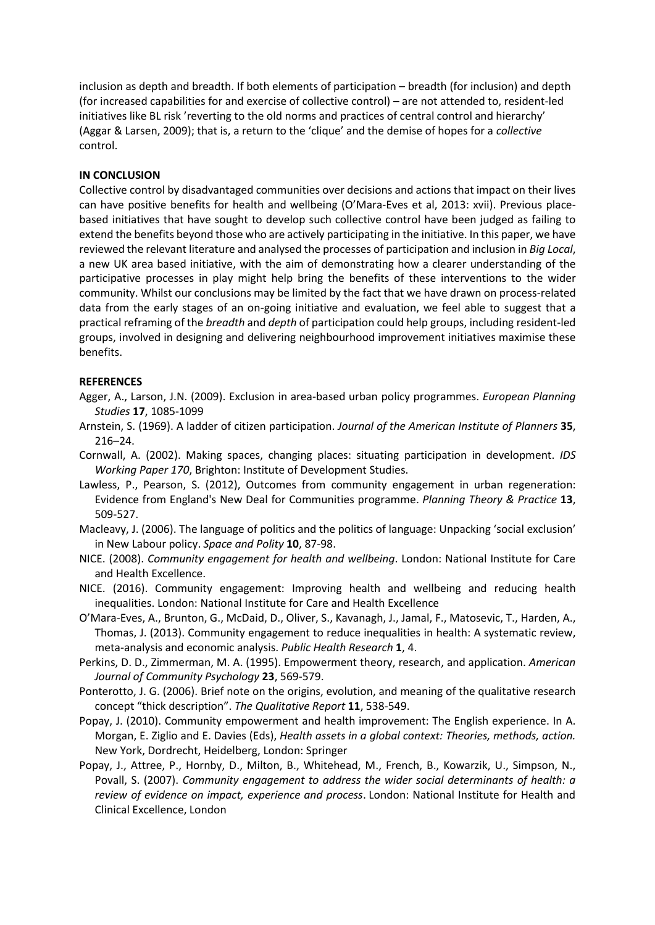inclusion as depth and breadth. If both elements of participation – breadth (for inclusion) and depth (for increased capabilities for and exercise of collective control) – are not attended to, resident-led initiatives like BL risk 'reverting to the old norms and practices of central control and hierarchy' (Aggar & Larsen, 2009); that is, a return to the 'clique' and the demise of hopes for a *collective* control.

## **IN CONCLUSION**

Collective control by disadvantaged communities over decisions and actions that impact on their lives can have positive benefits for health and wellbeing (O'Mara-Eves et al, 2013: xvii). Previous placebased initiatives that have sought to develop such collective control have been judged as failing to extend the benefits beyond those who are actively participating in the initiative. In this paper, we have reviewed the relevant literature and analysed the processes of participation and inclusion in *Big Local*, a new UK area based initiative, with the aim of demonstrating how a clearer understanding of the participative processes in play might help bring the benefits of these interventions to the wider community. Whilst our conclusions may be limited by the fact that we have drawn on process-related data from the early stages of an on-going initiative and evaluation, we feel able to suggest that a practical reframing of the *breadth* and *depth* of participation could help groups, including resident-led groups, involved in designing and delivering neighbourhood improvement initiatives maximise these benefits.

#### **REFERENCES**

- Agger, A., Larson, J.N. (2009). Exclusion in area-based urban policy programmes. *European Planning Studies* **17**, 1085-1099
- Arnstein, S. (1969). A ladder of citizen participation. *Journal of the American Institute of Planners* **35**, 216–24.
- Cornwall, A. (2002). Making spaces, changing places: situating participation in development. *IDS Working Paper 170*, Brighton: Institute of Development Studies.
- Lawless, P., Pearson, S. (2012), Outcomes from community engagement in urban regeneration: Evidence from England's New Deal for Communities programme. *Planning Theory & Practice* **13**, 509-527.
- Macleavy, J. (2006). The language of politics and the politics of language: Unpacking 'social exclusion' in New Labour policy. *Space and Polity* **10**, 87-98.
- NICE. (2008). *Community engagement for health and wellbeing*. London: National Institute for Care and Health Excellence.
- NICE. (2016). Community engagement: Improving health and wellbeing and reducing health inequalities. London: National Institute for Care and Health Excellence
- O'Mara-Eves, A., Brunton, G., McDaid, D., Oliver, S., Kavanagh, J., Jamal, F., Matosevic, T., Harden, A., Thomas, J. (2013). Community engagement to reduce inequalities in health: A systematic review, meta-analysis and economic analysis. *Public Health Research* **1**, 4.
- Perkins, D. D., Zimmerman, M. A. (1995). Empowerment theory, research, and application. *American Journal of Community Psychology* **23**, 569-579.
- Ponterotto, J. G. (2006). Brief note on the origins, evolution, and meaning of the qualitative research concept "thick description". *The Qualitative Report* **11**, 538-549.
- Popay, J. (2010). Community empowerment and health improvement: The English experience. In A. Morgan, E. Ziglio and E. Davies (Eds), *Health assets in a global context: Theories, methods, action.* New York, Dordrecht, Heidelberg, London: Springer
- Popay, J., Attree, P., Hornby, D., Milton, B., Whitehead, M., French, B., Kowarzik, U., Simpson, N., Povall, S. (2007). *Community engagement to address the wider social determinants of health: a review of evidence on impact, experience and process*. London: National Institute for Health and Clinical Excellence, London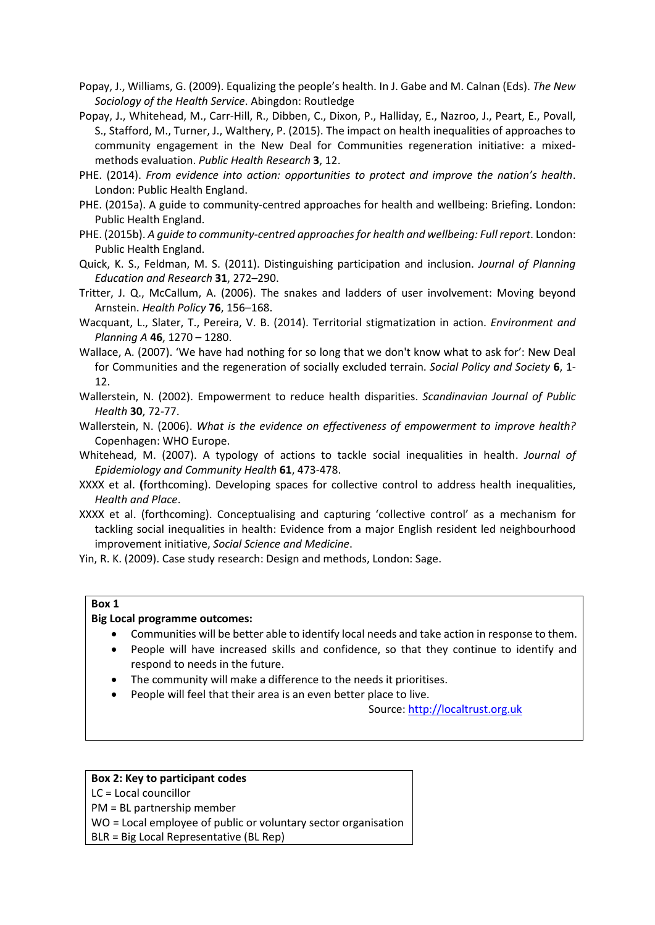- Popay, J., Williams, G. (2009). Equalizing the people's health. In J. Gabe and M. Calnan (Eds). *The New Sociology of the Health Service*. Abingdon: Routledge
- Popay, J., Whitehead, M., Carr-Hill, R., Dibben, C., Dixon, P., Halliday, E., Nazroo, J., Peart, E., Povall, S., Stafford, M., Turner, J., Walthery, P. (2015). The impact on health inequalities of approaches to community engagement in the New Deal for Communities regeneration initiative: a mixedmethods evaluation. *Public Health Research* **3**, 12.
- PHE. (2014). *From evidence into action: opportunities to protect and improve the nation's health*. London: Public Health England.
- PHE. (2015a). A guide to community-centred approaches for health and wellbeing: Briefing. London: Public Health England.
- PHE. (2015b). *A guide to community-centred approaches for health and wellbeing: Full report*. London: Public Health England.
- Quick, K. S., Feldman, M. S. (2011). Distinguishing participation and inclusion. *Journal of Planning Education and Research* **31**, 272–290.
- Tritter, J. Q., McCallum, A. (2006). The snakes and ladders of user involvement: Moving beyond Arnstein. *Health Policy* **76**, 156–168.
- Wacquant, L., Slater, T., Pereira, V. B. (2014). Territorial stigmatization in action. *Environment and Planning A* **46**, 1270 – 1280.
- Wallace, A. (2007). 'We have had nothing for so long that we don't know what to ask for': New Deal for Communities and the regeneration of socially excluded terrain. *Social Policy and Society* **6**, 1- 12.
- Wallerstein, N. (2002). Empowerment to reduce health disparities. *Scandinavian Journal of Public Health* **30**, 72-77.
- Wallerstein, N. (2006). *What is the evidence on effectiveness of empowerment to improve health?* Copenhagen: WHO Europe.
- Whitehead, M. (2007). A typology of actions to tackle social inequalities in health. *Journal of Epidemiology and Community Health* **61**, 473-478.
- XXXX et al. **(**forthcoming). Developing spaces for collective control to address health inequalities, *Health and Place*.
- XXXX et al. (forthcoming). Conceptualising and capturing 'collective control' as a mechanism for tackling social inequalities in health: Evidence from a major English resident led neighbourhood improvement initiative, *Social Science and Medicine*.
- Yin, R. K. (2009). Case study research: Design and methods, London: Sage.

## **Box 1**

#### **Big Local programme outcomes:**

- Communities will be better able to identify local needs and take action in response to them.
- People will have increased skills and confidence, so that they continue to identify and respond to needs in the future.
- The community will make a difference to the needs it prioritises.
- People will feel that their area is an even better place to live.

Source: [http://localtrust.org.uk](http://localtrust.org.uk/)

#### **Box 2: Key to participant codes**

LC = Local councillor

PM = BL partnership member

WO = Local employee of public or voluntary sector organisation

BLR = Big Local Representative (BL Rep)